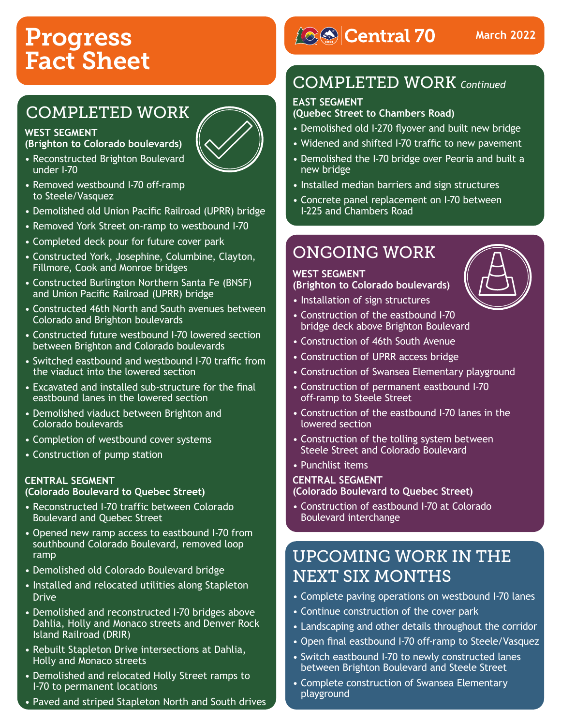# Progress Fact Sheet

### COMPLETED WORK

#### **WEST SEGMENT**

**(Brighton to Colorado boulevards)**

- Reconstructed Brighton Boulevard under I-70
- 
- Removed westbound I-70 off-ramp to Steele/Vasquez
- Demolished old Union Pacific Railroad (UPRR) bridge
- Removed York Street on-ramp to westbound I-70
- Completed deck pour for future cover park
- Constructed York, Josephine, Columbine, Clayton, Fillmore, Cook and Monroe bridges
- Constructed Burlington Northern Santa Fe (BNSF) and Union Pacific Railroad (UPRR) bridge
- Constructed 46th North and South avenues between Colorado and Brighton boulevards
- Constructed future westbound I-70 lowered section between Brighton and Colorado boulevards
- Switched eastbound and westbound I-70 traffic from the viaduct into the lowered section
- Excavated and installed sub-structure for the final eastbound lanes in the lowered section
- Demolished viaduct between Brighton and Colorado boulevards
- Completion of westbound cover systems
- Construction of pump station

#### **CENTRAL SEGMENT**

#### **(Colorado Boulevard to Quebec Street)**

- Reconstructed I-70 traffic between Colorado Boulevard and Quebec Street
- Opened new ramp access to eastbound I-70 from southbound Colorado Boulevard, removed loop ramp
- Demolished old Colorado Boulevard bridge
- Installed and relocated utilities along Stapleton Drive
- Demolished and reconstructed I-70 bridges above Dahlia, Holly and Monaco streets and Denver Rock Island Railroad (DRIR)
- Rebuilt Stapleton Drive intersections at Dahlia, Holly and Monaco streets
- Demolished and relocated Holly Street ramps to I-70 to permanent locations
- Paved and striped Stapleton North and South drives

# **BSCentral 70**

### COMPLETED WORK *Continued*

#### **EAST SEGMENT**

#### **(Quebec Street to Chambers Road)**

- Demolished old I-270 flyover and built new bridge
- Widened and shifted I-70 traffic to new pavement
- Demolished the I-70 bridge over Peoria and built a new bridge
- Installed median barriers and sign structures
- Concrete panel replacement on I-70 between I-225 and Chambers Road

### ONGOING WORK

#### **WEST SEGMENT**

**(Brighton to Colorado boulevards)**

- Installation of sign structures
- Construction of the eastbound I-70 bridge deck above Brighton Boulevard
- Construction of 46th South Avenue
- Construction of UPRR access bridge
- Construction of Swansea Elementary playground
- Construction of permanent eastbound I-70 off-ramp to Steele Street
- Construction of the eastbound I-70 lanes in the lowered section
- Construction of the tolling system between Steele Street and Colorado Boulevard
- Punchlist items

#### **CENTRAL SEGMENT**

**(Colorado Boulevard to Quebec Street)**

• Construction of eastbound I-70 at Colorado Boulevard interchange

### UPCOMING WORK IN THE NEXT SIX MONTHS

- Complete paving operations on westbound I-70 lanes
- Continue construction of the cover park
- Landscaping and other details throughout the corridor
- Open final eastbound I-70 off-ramp to Steele/Vasquez
- Switch eastbound I-70 to newly constructed lanes between Brighton Boulevard and Steele Street
- Complete construction of Swansea Elementary playground



**March 2022**